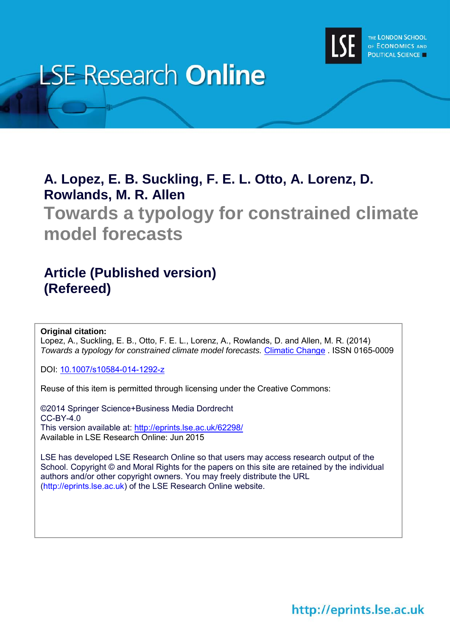

# **LSE Research Online**

## **A. Lopez, E. B. Suckling, F. E. L. Otto, A. Lorenz, D. Rowlands, M. R. Allen**

**Towards a typology for constrained climate model forecasts**

## **Article (Published version) (Refereed)**

**Original citation:**

Lopez, A., Suckling, E. B., Otto, F. E. L., Lorenz, A., Rowlands, D. and Allen, M. R. (2014) *Towards a typology for constrained climate model forecasts.* [Climatic Change](http://link.springer.com/journal/10584) . ISSN 0165-0009

DOI: [10.1007/s10584-014-1292-z](http://dx.doi.org/10.1007/s10584-014-1292-z)

Reuse of this item is permitted through licensing under the Creative Commons:

©2014 Springer Science+Business Media Dordrecht CC-BY-4.0 This version available at:<http://eprints.lse.ac.uk/62298/> Available in LSE Research Online: Jun 2015

LSE has developed LSE Research Online so that users may access research output of the School. Copyright © and Moral Rights for the papers on this site are retained by the individual authors and/or other copyright owners. You may freely distribute the URL (http://eprints.lse.ac.uk) of the LSE Research Online website.

http://eprints.lse.ac.uk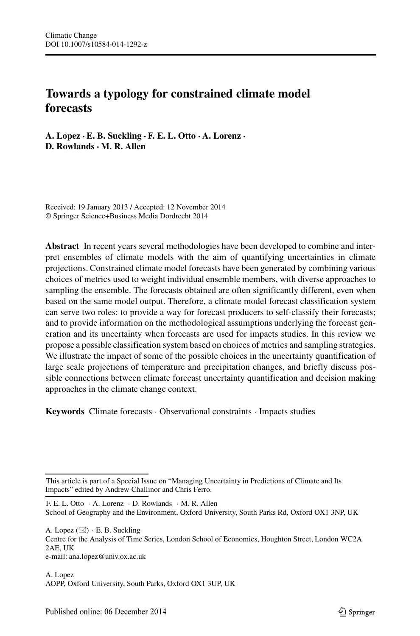### **Towards a typology for constrained climate model forecasts**

**A. Lopez ·E. B. Suckling · F. E. L. Otto · A. Lorenz · D. Rowlands ·M. R. Allen**

Received: 19 January 2013 / Accepted: 12 November 2014 © Springer Science+Business Media Dordrecht 2014

**Abstract** In recent years several methodologies have been developed to combine and interpret ensembles of climate models with the aim of quantifying uncertainties in climate projections. Constrained climate model forecasts have been generated by combining various choices of metrics used to weight individual ensemble members, with diverse approaches to sampling the ensemble. The forecasts obtained are often significantly different, even when based on the same model output. Therefore, a climate model forecast classification system can serve two roles: to provide a way for forecast producers to self-classify their forecasts; and to provide information on the methodological assumptions underlying the forecast generation and its uncertainty when forecasts are used for impacts studies. In this review we propose a possible classification system based on choices of metrics and sampling strategies. We illustrate the impact of some of the possible choices in the uncertainty quantification of large scale projections of temperature and precipitation changes, and briefly discuss possible connections between climate forecast uncertainty quantification and decision making approaches in the climate change context.

**Keywords** Climate forecasts · Observational constraints · Impacts studies

A. Lopez  $(\boxtimes) \cdot$  E. B. Suckling Centre for the Analysis of Time Series, London School of Economics, Houghton Street, London WC2A 2AE, UK e-mail: [ana.lopez@univ.ox.ac.uk](mailto:ana.lopez@univ.ox.ac.uk)

A. Lopez AOPP, Oxford University, South Parks, Oxford OX1 3UP, UK

This article is part of a Special Issue on "Managing Uncertainty in Predictions of Climate and Its Impacts" edited by Andrew Challinor and Chris Ferro.

F. E. L. Otto · A. Lorenz · D. Rowlands · M. R. Allen School of Geography and the Environment, Oxford University, South Parks Rd, Oxford OX1 3NP, UK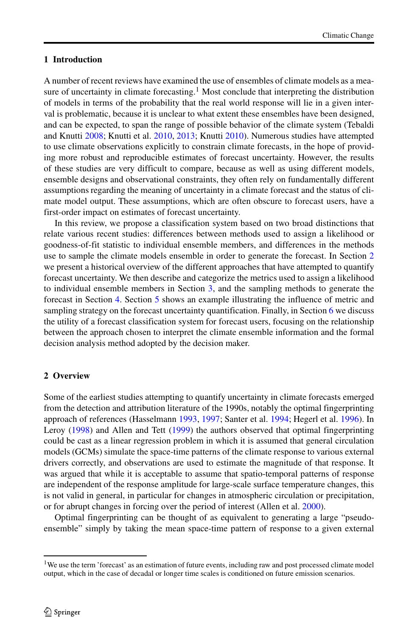#### **1 Introduction**

A number of recent reviews have examined the use of ensembles of climate models as a measure of uncertainty in climate forecasting.<sup>1</sup> Most conclude that interpreting the distribution of models in terms of the probability that the real world response will lie in a given interval is problematic, because it is unclear to what extent these ensembles have been designed, and can be expected, to span the range of possible behavior of the climate system (Tebaldi and Knutti [2008;](#page-15-0) Knutti et al. [2010,](#page-14-0) [2013;](#page-14-1) Knutti [2010\)](#page-14-2). Numerous studies have attempted to use climate observations explicitly to constrain climate forecasts, in the hope of providing more robust and reproducible estimates of forecast uncertainty. However, the results of these studies are very difficult to compare, because as well as using different models, ensemble designs and observational constraints, they often rely on fundamentally different assumptions regarding the meaning of uncertainty in a climate forecast and the status of climate model output. These assumptions, which are often obscure to forecast users, have a first-order impact on estimates of forecast uncertainty.

In this review, we propose a classification system based on two broad distinctions that relate various recent studies: differences between methods used to assign a likelihood or goodness-of-fit statistic to individual ensemble members, and differences in the methods use to sample the climate models ensemble in order to generate the forecast. In Section [2](#page-2-1) we present a historical overview of the different approaches that have attempted to quantify forecast uncertainty. We then describe and categorize the metrics used to assign a likelihood to individual ensemble members in Section [3,](#page-4-0) and the sampling methods to generate the forecast in Section [4.](#page-8-0) Section [5](#page-10-0) shows an example illustrating the influence of metric and sampling strategy on the forecast uncertainty quantification. Finally, in Section [6](#page-12-0) we discuss the utility of a forecast classification system for forecast users, focusing on the relationship between the approach chosen to interpret the climate ensemble information and the formal decision analysis method adopted by the decision maker.

#### <span id="page-2-1"></span>**2 Overview**

Some of the earliest studies attempting to quantify uncertainty in climate forecasts emerged from the detection and attribution literature of the 1990s, notably the optimal fingerprinting approach of references (Hasselmann [1993,](#page-13-0) [1997;](#page-13-1) Santer et al. [1994;](#page-15-1) Hegerl et al. [1996\)](#page-13-2). In Leroy [\(1998\)](#page-14-3) and Allen and Tett [\(1999\)](#page-13-3) the authors observed that optimal fingerprinting could be cast as a linear regression problem in which it is assumed that general circulation models (GCMs) simulate the space-time patterns of the climate response to various external drivers correctly, and observations are used to estimate the magnitude of that response. It was argued that while it is acceptable to assume that spatio-temporal patterns of response are independent of the response amplitude for large-scale surface temperature changes, this is not valid in general, in particular for changes in atmospheric circulation or precipitation, or for abrupt changes in forcing over the period of interest (Allen et al. [2000\)](#page-13-4).

Optimal fingerprinting can be thought of as equivalent to generating a large "pseudoensemble" simply by taking the mean space-time pattern of response to a given external

<span id="page-2-0"></span><sup>&</sup>lt;sup>1</sup>We use the term 'forecast' as an estimation of future events, including raw and post processed climate model output, which in the case of decadal or longer time scales is conditioned on future emission scenarios.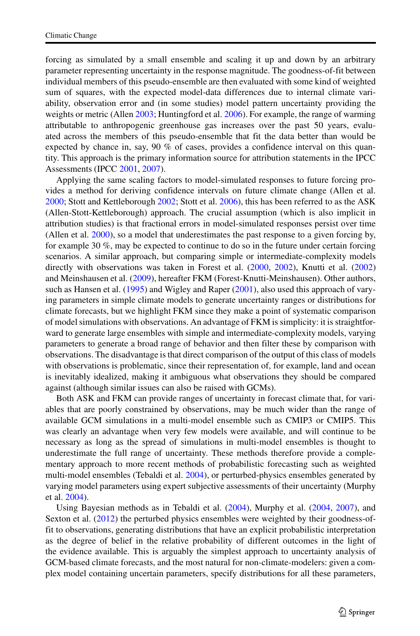forcing as simulated by a small ensemble and scaling it up and down by an arbitrary parameter representing uncertainty in the response magnitude. The goodness-of-fit between individual members of this pseudo-ensemble are then evaluated with some kind of weighted sum of squares, with the expected model-data differences due to internal climate variability, observation error and (in some studies) model pattern uncertainty providing the weights or metric (Allen [2003;](#page-13-5) Huntingford et al. [2006\)](#page-14-4). For example, the range of warming attributable to anthropogenic greenhouse gas increases over the past 50 years, evaluated across the members of this pseudo-ensemble that fit the data better than would be expected by chance in, say, 90 % of cases, provides a confidence interval on this quantity. This approach is the primary information source for attribution statements in the IPCC Assessments (IPCC [2001,](#page-14-5) [2007\)](#page-14-6).

Applying the same scaling factors to model-simulated responses to future forcing provides a method for deriving confidence intervals on future climate change (Allen et al. [2000;](#page-13-4) Stott and Kettleborough [2002;](#page-15-2) Stott et al. [2006\)](#page-15-3), this has been referred to as the ASK (Allen-Stott-Kettleborough) approach. The crucial assumption (which is also implicit in attribution studies) is that fractional errors in model-simulated responses persist over time (Allen et al. [2000\)](#page-13-4), so a model that underestimates the past response to a given forcing by, for example 30 %, may be expected to continue to do so in the future under certain forcing scenarios. A similar approach, but comparing simple or intermediate-complexity models directly with observations was taken in Forest et al. [\(2000,](#page-13-6) [2002\)](#page-13-7), Knutti et al. [\(2002\)](#page-14-7) and Meinshausen et al. [\(2009\)](#page-14-8), hereafter FKM (Forest-Knutti-Meinshausen). Other authors, such as Hansen et al. [\(1995\)](#page-13-8) and Wigley and Raper [\(2001\)](#page-15-4), also used this approach of varying parameters in simple climate models to generate uncertainty ranges or distributions for climate forecasts, but we highlight FKM since they make a point of systematic comparison of model simulations with observations. An advantage of FKM is simplicity: it is straightforward to generate large ensembles with simple and intermediate-complexity models, varying parameters to generate a broad range of behavior and then filter these by comparison with observations. The disadvantage is that direct comparison of the output of this class of models with observations is problematic, since their representation of, for example, land and ocean is inevitably idealized, making it ambiguous what observations they should be compared against (although similar issues can also be raised with GCMs).

Both ASK and FKM can provide ranges of uncertainty in forecast climate that, for variables that are poorly constrained by observations, may be much wider than the range of available GCM simulations in a multi-model ensemble such as CMIP3 or CMIP5. This was clearly an advantage when very few models were available, and will continue to be necessary as long as the spread of simulations in multi-model ensembles is thought to underestimate the full range of uncertainty. These methods therefore provide a complementary approach to more recent methods of probabilistic forecasting such as weighted multi-model ensembles (Tebaldi et al. [2004\)](#page-15-5), or perturbed-physics ensembles generated by varying model parameters using expert subjective assessments of their uncertainty (Murphy et al. [2004\)](#page-14-9).

Using Bayesian methods as in Tebaldi et al. [\(2004\)](#page-15-5), Murphy et al. [\(2004,](#page-14-9) [2007\)](#page-14-10), and Sexton et al. [\(2012\)](#page-15-6) the perturbed physics ensembles were weighted by their goodness-offit to observations, generating distributions that have an explicit probabilistic interpretation as the degree of belief in the relative probability of different outcomes in the light of the evidence available. This is arguably the simplest approach to uncertainty analysis of GCM-based climate forecasts, and the most natural for non-climate-modelers: given a complex model containing uncertain parameters, specify distributions for all these parameters,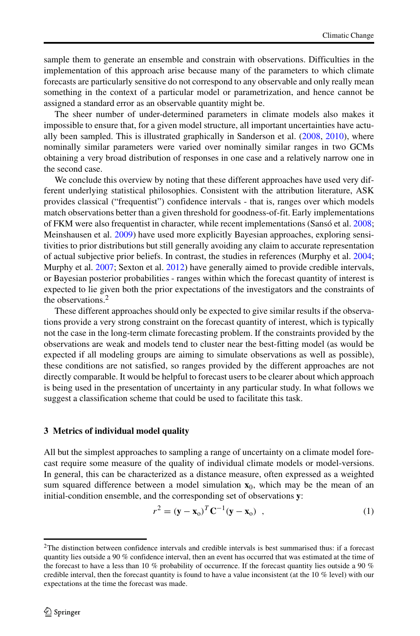sample them to generate an ensemble and constrain with observations. Difficulties in the implementation of this approach arise because many of the parameters to which climate forecasts are particularly sensitive do not correspond to any observable and only really mean something in the context of a particular model or parametrization, and hence cannot be assigned a standard error as an observable quantity might be.

The sheer number of under-determined parameters in climate models also makes it impossible to ensure that, for a given model structure, all important uncertainties have actually been sampled. This is illustrated graphically in Sanderson et al. [\(2008,](#page-15-7) [2010\)](#page-15-8), where nominally similar parameters were varied over nominally similar ranges in two GCMs obtaining a very broad distribution of responses in one case and a relatively narrow one in the second case.

We conclude this overview by noting that these different approaches have used very different underlying statistical philosophies. Consistent with the attribution literature, ASK provides classical ("frequentist") confidence intervals - that is, ranges over which models match observations better than a given threshold for goodness-of-fit. Early implementations of FKM were also frequentist in character, while recent implementations (Sansó et al. [2008;](#page-15-9) Meinshausen et al. [2009\)](#page-14-8) have used more explicitly Bayesian approaches, exploring sensitivities to prior distributions but still generally avoiding any claim to accurate representation of actual subjective prior beliefs. In contrast, the studies in references (Murphy et al. [2004;](#page-14-9) Murphy et al. [2007;](#page-14-10) Sexton et al. [2012\)](#page-15-6) have generally aimed to provide credible intervals, or Bayesian posterior probabilities - ranges within which the forecast quantity of interest is expected to lie given both the prior expectations of the investigators and the constraints of the observations.[2](#page-4-1)

These different approaches should only be expected to give similar results if the observations provide a very strong constraint on the forecast quantity of interest, which is typically not the case in the long-term climate forecasting problem. If the constraints provided by the observations are weak and models tend to cluster near the best-fitting model (as would be expected if all modeling groups are aiming to simulate observations as well as possible), these conditions are not satisfied, so ranges provided by the different approaches are not directly comparable. It would be helpful to forecast users to be clearer about which approach is being used in the presentation of uncertainty in any particular study. In what follows we suggest a classification scheme that could be used to facilitate this task.

#### <span id="page-4-0"></span>**3 Metrics of individual model quality**

All but the simplest approaches to sampling a range of uncertainty on a climate model forecast require some measure of the quality of individual climate models or model-versions. In general, this can be characterized as a distance measure, often expressed as a weighted sum squared difference between a model simulation  $x_0$ , which may be the mean of an initial-condition ensemble, and the corresponding set of observations **y**:

$$
r^{2} = (\mathbf{y} - \mathbf{x}_{0})^{T} \mathbf{C}^{-1} (\mathbf{y} - \mathbf{x}_{0}) , \qquad (1)
$$

<span id="page-4-1"></span><sup>2</sup>The distinction between confidence intervals and credible intervals is best summarised thus: if a forecast quantity lies outside a 90 % confidence interval, then an event has occurred that was estimated at the time of the forecast to have a less than 10 % probability of occurrence. If the forecast quantity lies outside a 90 % credible interval, then the forecast quantity is found to have a value inconsistent (at the 10 % level) with our expectations at the time the forecast was made.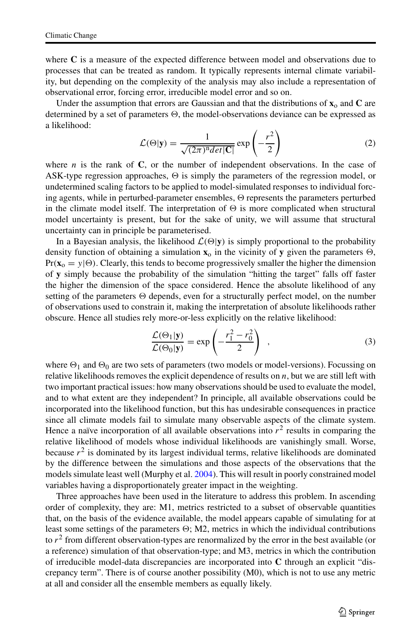where **C** is a measure of the expected difference between model and observations due to processes that can be treated as random. It typically represents internal climate variability, but depending on the complexity of the analysis may also include a representation of observational error, forcing error, irreducible model error and so on.

Under the assumption that errors are Gaussian and that the distributions of  $\mathbf{x}_0$  and  $\mathbf{C}$  are determined by a set of parameters  $\Theta$ , the model-observations deviance can be expressed as a likelihood:

$$
\mathcal{L}(\Theta|\mathbf{y}) = \frac{1}{\sqrt{(2\pi)^{n}det|\mathbf{C}|}} \exp\left(-\frac{r^{2}}{2}\right)
$$
 (2)

where  $n$  is the rank of  $C$ , or the number of independent observations. In the case of ASK-type regression approaches,  $\Theta$  is simply the parameters of the regression model, or undetermined scaling factors to be applied to model-simulated responses to individual forcing agents, while in perturbed-parameter ensembles,  $\Theta$  represents the parameters perturbed in the climate model itself. The interpretation of  $\Theta$  is more complicated when structural model uncertainty is present, but for the sake of unity, we will assume that structural uncertainty can in principle be parameterised.

In a Bayesian analysis, the likelihood  $\mathcal{L}(\Theta|\mathbf{y})$  is simply proportional to the probability density function of obtaining a simulation  $x_0$  in the vicinity of **y** given the parameters  $\Theta$ ,  $Pr(\mathbf{x}_0 = y | \Theta)$ . Clearly, this tends to become progressively smaller the higher the dimension of **y** simply because the probability of the simulation "hitting the target" falls off faster the higher the dimension of the space considered. Hence the absolute likelihood of any setting of the parameters  $\Theta$  depends, even for a structurally perfect model, on the number of observations used to constrain it, making the interpretation of absolute likelihoods rather obscure. Hence all studies rely more-or-less explicitly on the relative likelihood:

$$
\frac{\mathcal{L}(\Theta_1|\mathbf{y})}{\mathcal{L}(\Theta_0|\mathbf{y})} = \exp\left(-\frac{r_1^2 - r_0^2}{2}\right) ,\qquad(3)
$$

where  $\Theta_1$  and  $\Theta_0$  are two sets of parameters (two models or model-versions). Focussing on relative likelihoods removes the explicit dependence of results on  $n$ , but we are still left with two important practical issues: how many observations should be used to evaluate the model, and to what extent are they independent? In principle, all available observations could be incorporated into the likelihood function, but this has undesirable consequences in practice since all climate models fail to simulate many observable aspects of the climate system. Hence a naïve incorporation of all available observations into  $r^2$  results in comparing the relative likelihood of models whose individual likelihoods are vanishingly small. Worse, because  $r^2$  is dominated by its largest individual terms, relative likelihoods are dominated by the difference between the simulations and those aspects of the observations that the models simulate least well (Murphy et al. [2004\)](#page-14-9). This will result in poorly constrained model variables having a disproportionately greater impact in the weighting.

Three approaches have been used in the literature to address this problem. In ascending order of complexity, they are: M1, metrics restricted to a subset of observable quantities that, on the basis of the evidence available, the model appears capable of simulating for at least some settings of the parameters  $\Theta$ ; M2, metrics in which the individual contributions to  $r<sup>2</sup>$  from different observation-types are renormalized by the error in the best available (or a reference) simulation of that observation-type; and M3, metrics in which the contribution of irreducible model-data discrepancies are incorporated into **C** through an explicit "discrepancy term". There is of course another possibility (M0), which is not to use any metric at all and consider all the ensemble members as equally likely.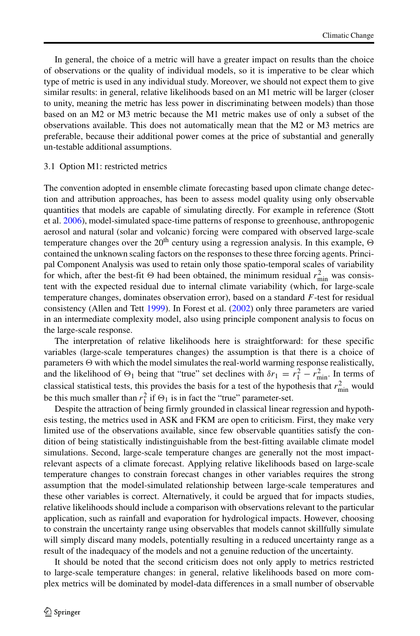In general, the choice of a metric will have a greater impact on results than the choice of observations or the quality of individual models, so it is imperative to be clear which type of metric is used in any individual study. Moreover, we should not expect them to give similar results: in general, relative likelihoods based on an M1 metric will be larger (closer to unity, meaning the metric has less power in discriminating between models) than those based on an M2 or M3 metric because the M1 metric makes use of only a subset of the observations available. This does not automatically mean that the M2 or M3 metrics are preferable, because their additional power comes at the price of substantial and generally un-testable additional assumptions.

#### 3.1 Option M1: restricted metrics

The convention adopted in ensemble climate forecasting based upon climate change detection and attribution approaches, has been to assess model quality using only observable quantities that models are capable of simulating directly. For example in reference (Stott et al. [2006\)](#page-15-10), model-simulated space-time patterns of response to greenhouse, anthropogenic aerosol and natural (solar and volcanic) forcing were compared with observed large-scale temperature changes over the 20<sup>th</sup> century using a regression analysis. In this example,  $\Theta$ contained the unknown scaling factors on the responses to these three forcing agents. Principal Component Analysis was used to retain only those spatio-temporal scales of variability for which, after the best-fit  $\Theta$  had been obtained, the minimum residual  $r_{\min}^2$  was consistent with the expected residual due to internal climate variability (which, for large-scale temperature changes, dominates observation error), based on a standard F-test for residual consistency (Allen and Tett [1999\)](#page-13-3). In Forest et al. [\(2002\)](#page-13-7) only three parameters are varied in an intermediate complexity model, also using principle component analysis to focus on the large-scale response.

The interpretation of relative likelihoods here is straightforward: for these specific variables (large-scale temperatures changes) the assumption is that there is a choice of parameters  $\Theta$  with which the model simulates the real-world warming response realistically, and the likelihood of  $\Theta_1$  being that "true" set declines with  $\delta r_1 = r_1^2 - r_{\min}^2$ . In terms of classical statistical tests, this provides the basis for a test of the hypothesis that  $r_{\text{min}}^2$  would be this much smaller than  $r_1^2$  if  $\Theta_1$  is in fact the "true" parameter-set.

Despite the attraction of being firmly grounded in classical linear regression and hypothesis testing, the metrics used in ASK and FKM are open to criticism. First, they make very limited use of the observations available, since few observable quantities satisfy the condition of being statistically indistinguishable from the best-fitting available climate model simulations. Second, large-scale temperature changes are generally not the most impactrelevant aspects of a climate forecast. Applying relative likelihoods based on large-scale temperature changes to constrain forecast changes in other variables requires the strong assumption that the model-simulated relationship between large-scale temperatures and these other variables is correct. Alternatively, it could be argued that for impacts studies, relative likelihoods should include a comparison with observations relevant to the particular application, such as rainfall and evaporation for hydrological impacts. However, choosing to constrain the uncertainty range using observables that models cannot skillfully simulate will simply discard many models, potentially resulting in a reduced uncertainty range as a result of the inadequacy of the models and not a genuine reduction of the uncertainty.

It should be noted that the second criticism does not only apply to metrics restricted to large-scale temperature changes: in general, relative likelihoods based on more complex metrics will be dominated by model-data differences in a small number of observable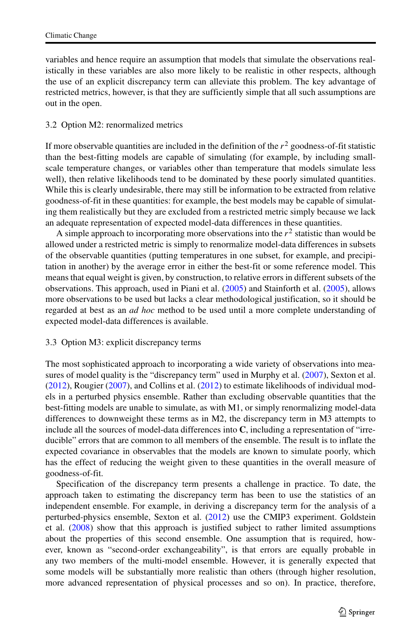variables and hence require an assumption that models that simulate the observations realistically in these variables are also more likely to be realistic in other respects, although the use of an explicit discrepancy term can alleviate this problem. The key advantage of restricted metrics, however, is that they are sufficiently simple that all such assumptions are out in the open.

#### 3.2 Option M2: renormalized metrics

If more observable quantities are included in the definition of the  $r^2$  goodness-of-fit statistic than the best-fitting models are capable of simulating (for example, by including smallscale temperature changes, or variables other than temperature that models simulate less well), then relative likelihoods tend to be dominated by these poorly simulated quantities. While this is clearly undesirable, there may still be information to be extracted from relative goodness-of-fit in these quantities: for example, the best models may be capable of simulating them realistically but they are excluded from a restricted metric simply because we lack an adequate representation of expected model-data differences in these quantities.

A simple approach to incorporating more observations into the  $r^2$  statistic than would be allowed under a restricted metric is simply to renormalize model-data differences in subsets of the observable quantities (putting temperatures in one subset, for example, and precipitation in another) by the average error in either the best-fit or some reference model. This means that equal weight is given, by construction, to relative errors in different subsets of the observations. This approach, used in Piani et al. [\(2005\)](#page-14-11) and Stainforth et al. [\(2005\)](#page-15-11), allows more observations to be used but lacks a clear methodological justification, so it should be regarded at best as an *ad hoc* method to be used until a more complete understanding of expected model-data differences is available.

#### 3.3 Option M3: explicit discrepancy terms

The most sophisticated approach to incorporating a wide variety of observations into measures of model quality is the "discrepancy term" used in Murphy et al. [\(2007\)](#page-14-10), Sexton et al.  $(2012)$ , Rougier  $(2007)$ , and Collins et al.  $(2012)$  to estimate likelihoods of individual models in a perturbed physics ensemble. Rather than excluding observable quantities that the best-fitting models are unable to simulate, as with M1, or simply renormalizing model-data differences to downweight these terms as in M2, the discrepancy term in M3 attempts to include all the sources of model-data differences into **C**, including a representation of "irreducible" errors that are common to all members of the ensemble. The result is to inflate the expected covariance in observables that the models are known to simulate poorly, which has the effect of reducing the weight given to these quantities in the overall measure of goodness-of-fit.

Specification of the discrepancy term presents a challenge in practice. To date, the approach taken to estimating the discrepancy term has been to use the statistics of an independent ensemble. For example, in deriving a discrepancy term for the analysis of a perturbed-physics ensemble, Sexton et al. [\(2012\)](#page-15-6) use the CMIP3 experiment. Goldstein et al. [\(2008\)](#page-13-10) show that this approach is justified subject to rather limited assumptions about the properties of this second ensemble. One assumption that is required, however, known as "second-order exchangeability", is that errors are equally probable in any two members of the multi-model ensemble. However, it is generally expected that some models will be substantially more realistic than others (through higher resolution, more advanced representation of physical processes and so on). In practice, therefore,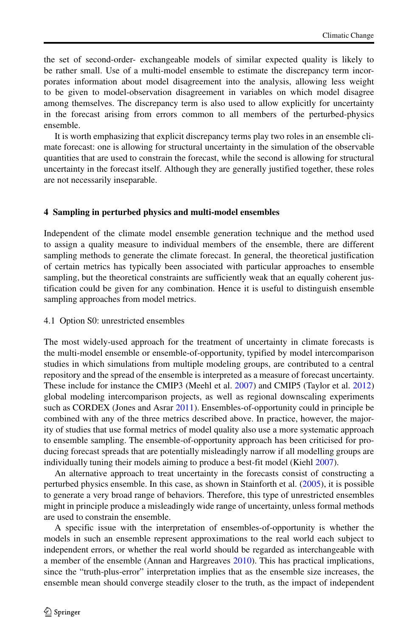the set of second-order- exchangeable models of similar expected quality is likely to be rather small. Use of a multi-model ensemble to estimate the discrepancy term incorporates information about model disagreement into the analysis, allowing less weight to be given to model-observation disagreement in variables on which model disagree among themselves. The discrepancy term is also used to allow explicitly for uncertainty in the forecast arising from errors common to all members of the perturbed-physics ensemble.

It is worth emphasizing that explicit discrepancy terms play two roles in an ensemble climate forecast: one is allowing for structural uncertainty in the simulation of the observable quantities that are used to constrain the forecast, while the second is allowing for structural uncertainty in the forecast itself. Although they are generally justified together, these roles are not necessarily inseparable.

#### <span id="page-8-0"></span>**4 Sampling in perturbed physics and multi-model ensembles**

Independent of the climate model ensemble generation technique and the method used to assign a quality measure to individual members of the ensemble, there are different sampling methods to generate the climate forecast. In general, the theoretical justification of certain metrics has typically been associated with particular approaches to ensemble sampling, but the theoretical constraints are sufficiently weak that an equally coherent justification could be given for any combination. Hence it is useful to distinguish ensemble sampling approaches from model metrics.

#### 4.1 Option S0: unrestricted ensembles

The most widely-used approach for the treatment of uncertainty in climate forecasts is the multi-model ensemble or ensemble-of-opportunity, typified by model intercomparison studies in which simulations from multiple modeling groups, are contributed to a central repository and the spread of the ensemble is interpreted as a measure of forecast uncertainty. These include for instance the CMIP3 (Meehl et al. [2007\)](#page-14-13) and CMIP5 (Taylor et al. [2012\)](#page-15-12) global modeling intercomparison projects, as well as regional downscaling experiments such as CORDEX (Jones and Asrar [2011\)](#page-14-14). Ensembles-of-opportunity could in principle be combined with any of the three metrics described above. In practice, however, the majority of studies that use formal metrics of model quality also use a more systematic approach to ensemble sampling. The ensemble-of-opportunity approach has been criticised for producing forecast spreads that are potentially misleadingly narrow if all modelling groups are individually tuning their models aiming to produce a best-fit model (Kiehl [2007\)](#page-14-15).

An alternative approach to treat uncertainty in the forecasts consist of constructing a perturbed physics ensemble. In this case, as shown in Stainforth et al. [\(2005\)](#page-15-11), it is possible to generate a very broad range of behaviors. Therefore, this type of unrestricted ensembles might in principle produce a misleadingly wide range of uncertainty, unless formal methods are used to constrain the ensemble.

A specific issue with the interpretation of ensembles-of-opportunity is whether the models in such an ensemble represent approximations to the real world each subject to independent errors, or whether the real world should be regarded as interchangeable with a member of the ensemble (Annan and Hargreaves [2010\)](#page-13-11). This has practical implications, since the "truth-plus-error" interpretation implies that as the ensemble size increases, the ensemble mean should converge steadily closer to the truth, as the impact of independent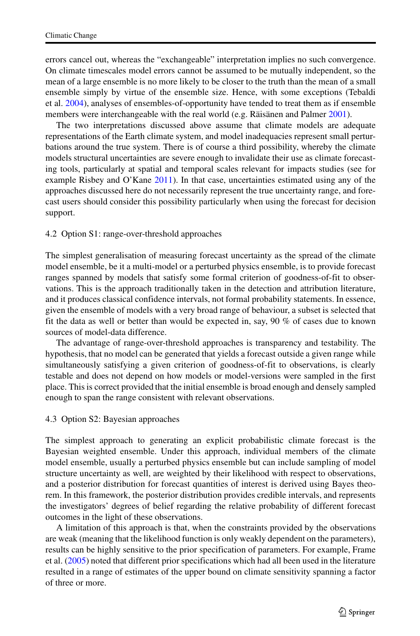errors cancel out, whereas the "exchangeable" interpretation implies no such convergence. On climate timescales model errors cannot be assumed to be mutually independent, so the mean of a large ensemble is no more likely to be closer to the truth than the mean of a small ensemble simply by virtue of the ensemble size. Hence, with some exceptions (Tebaldi et al. [2004\)](#page-15-5), analyses of ensembles-of-opportunity have tended to treat them as if ensemble members were interchangeable with the real world (e.g. Räisänen and Palmer [2001\)](#page-14-16).

The two interpretations discussed above assume that climate models are adequate representations of the Earth climate system, and model inadequacies represent small perturbations around the true system. There is of course a third possibility, whereby the climate models structural uncertainties are severe enough to invalidate their use as climate forecasting tools, particularly at spatial and temporal scales relevant for impacts studies (see for example Risbey and O'Kane [2011\)](#page-14-17). In that case, uncertainties estimated using any of the approaches discussed here do not necessarily represent the true uncertainty range, and forecast users should consider this possibility particularly when using the forecast for decision support.

#### 4.2 Option S1: range-over-threshold approaches

The simplest generalisation of measuring forecast uncertainty as the spread of the climate model ensemble, be it a multi-model or a perturbed physics ensemble, is to provide forecast ranges spanned by models that satisfy some formal criterion of goodness-of-fit to observations. This is the approach traditionally taken in the detection and attribution literature, and it produces classical confidence intervals, not formal probability statements. In essence, given the ensemble of models with a very broad range of behaviour, a subset is selected that fit the data as well or better than would be expected in, say, 90 % of cases due to known sources of model-data difference.

The advantage of range-over-threshold approaches is transparency and testability. The hypothesis, that no model can be generated that yields a forecast outside a given range while simultaneously satisfying a given criterion of goodness-of-fit to observations, is clearly testable and does not depend on how models or model-versions were sampled in the first place. This is correct provided that the initial ensemble is broad enough and densely sampled enough to span the range consistent with relevant observations.

#### 4.3 Option S2: Bayesian approaches

The simplest approach to generating an explicit probabilistic climate forecast is the Bayesian weighted ensemble. Under this approach, individual members of the climate model ensemble, usually a perturbed physics ensemble but can include sampling of model structure uncertainty as well, are weighted by their likelihood with respect to observations, and a posterior distribution for forecast quantities of interest is derived using Bayes theorem. In this framework, the posterior distribution provides credible intervals, and represents the investigators' degrees of belief regarding the relative probability of different forecast outcomes in the light of these observations.

A limitation of this approach is that, when the constraints provided by the observations are weak (meaning that the likelihood function is only weakly dependent on the parameters), results can be highly sensitive to the prior specification of parameters. For example, Frame et al. [\(2005\)](#page-13-12) noted that different prior specifications which had all been used in the literature resulted in a range of estimates of the upper bound on climate sensitivity spanning a factor of three or more.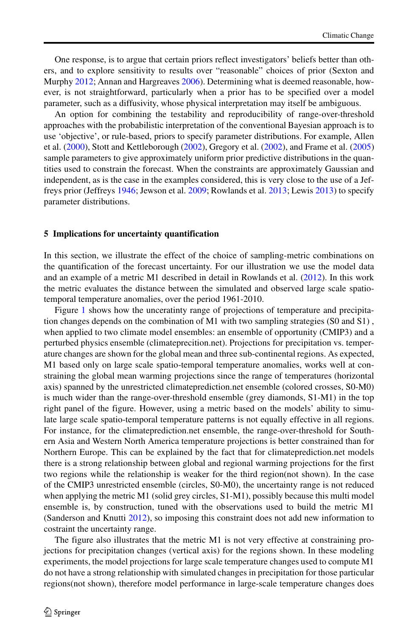One response, is to argue that certain priors reflect investigators' beliefs better than others, and to explore sensitivity to results over "reasonable" choices of prior (Sexton and Murphy [2012;](#page-15-13) Annan and Hargreaves [2006\)](#page-13-13). Determining what is deemed reasonable, however, is not straightforward, particularly when a prior has to be specified over a model parameter, such as a diffusivity, whose physical interpretation may itself be ambiguous.

An option for combining the testability and reproducibility of range-over-threshold approaches with the probabilistic interpretation of the conventional Bayesian approach is to use 'objective', or rule-based, priors to specify parameter distributions. For example, Allen et al. [\(2000\)](#page-13-4), Stott and Kettleborough [\(2002\)](#page-15-2), Gregory et al. [\(2002\)](#page-13-14), and Frame et al. [\(2005\)](#page-13-12) sample parameters to give approximately uniform prior predictive distributions in the quantities used to constrain the forecast. When the constraints are approximately Gaussian and independent, as is the case in the examples considered, this is very close to the use of a Jeffreys prior (Jeffreys [1946;](#page-14-18) Jewson et al. [2009;](#page-14-19) Rowlands et al. [2013;](#page-15-14) Lewis [2013\)](#page-14-20) to specify parameter distributions.

#### <span id="page-10-0"></span>**5 Implications for uncertainty quantification**

In this section, we illustrate the effect of the choice of sampling-metric combinations on the quantification of the forecast uncertainty. For our illustration we use the model data and an example of a metric M1 described in detail in Rowlands et al. [\(2012\)](#page-15-15). In this work the metric evaluates the distance between the simulated and observed large scale spatiotemporal temperature anomalies, over the period 1961-2010.

Figure [1](#page-11-0) shows how the unceratinty range of projections of temperature and precipitation changes depends on the combination of M1 with two sampling strategies (S0 and S1) , when applied to two climate model ensembles: an ensemble of opportunity (CMIP3) and a perturbed physics ensemble (climateprecition.net). Projections for precipitation vs. temperature changes are shown for the global mean and three sub-continental regions. As expected, M1 based only on large scale spatio-temporal temperature anomalies, works well at constraining the global mean warming projections since the range of temperatures (horizontal axis) spanned by the unrestricted climateprediction.net ensemble (colored crosses, S0-M0) is much wider than the range-over-threshold ensemble (grey diamonds, S1-M1) in the top right panel of the figure. However, using a metric based on the models' ability to simulate large scale spatio-temporal temperature patterns is not equally effective in all regions. For instance, for the climateprediction.net ensemble, the range-over-threshold for Southern Asia and Western North America temperature projections is better constrained than for Northern Europe. This can be explained by the fact that for climateprediction.net models there is a strong relationship between global and regional warming projections for the first two regions while the relationship is weaker for the third region(not shown). In the case of the CMIP3 unrestricted ensemble (circles, S0-M0), the uncertainty range is not reduced when applying the metric M1 (solid grey circles, S1-M1), possibly because this multi model ensemble is, by construction, tuned with the observations used to build the metric M1 (Sanderson and Knutti [2012\)](#page-15-16), so imposing this constraint does not add new information to costraint the uncertainty range.

The figure also illustrates that the metric M1 is not very effective at constraining projections for precipitation changes (vertical axis) for the regions shown. In these modeling experiments, the model projections for large scale temperature changes used to compute M1 do not have a strong relationship with simulated changes in precipitation for those particular regions(not shown), therefore model performance in large-scale temperature changes does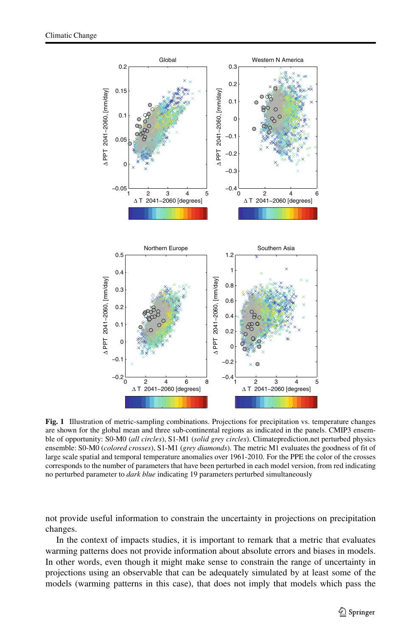<span id="page-11-0"></span>

**Fig. 1** Illustration of metric-sampling combinations. Projections for precipitation vs. temperature changes are shown for the global mean and three sub-continental regions as indicated in the panels. CMIP3 ensemble of opportunity: S0-M0 (*all circles*), S1-M1 (*solid grey circles*). Climateprediction.net perturbed physics ensemble: S0-M0 (*colored crosses*), S1-M1 (*grey diamonds*). The metric M1 evaluates the goodness of fit of large scale spatial and temporal temperature anomalies over 1961-2010. For the PPE the color of the crosses corresponds to the number of parameters that have been perturbed in each model version, from red indicating no perturbed parameter to *dark blue* indicating 19 parameters perturbed simultaneously

not provide useful information to constrain the uncertainty in projections on precipitation changes.

In the context of impacts studies, it is important to remark that a metric that evaluates warming patterns does not provide information about absolute errors and biases in models. In other words, even though it might make sense to constrain the range of uncertainty in projections using an observable that can be adequately simulated by at least some of the models (warming patterns in this case), that does not imply that models which pass the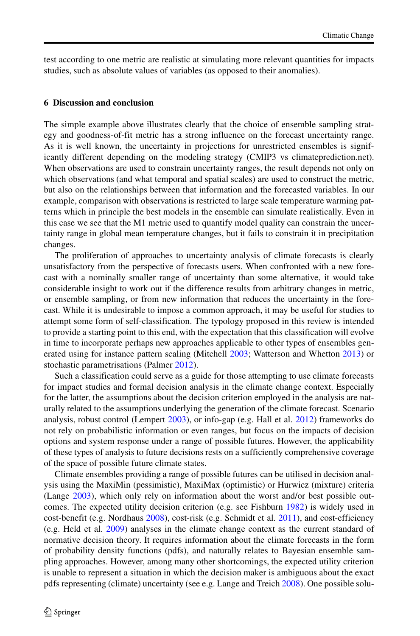test according to one metric are realistic at simulating more relevant quantities for impacts studies, such as absolute values of variables (as opposed to their anomalies).

#### <span id="page-12-0"></span>**6 Discussion and conclusion**

The simple example above illustrates clearly that the choice of ensemble sampling strategy and goodness-of-fit metric has a strong influence on the forecast uncertainty range. As it is well known, the uncertainty in projections for unrestricted ensembles is significantly different depending on the modeling strategy (CMIP3 vs climateprediction.net). When observations are used to constrain uncertainty ranges, the result depends not only on which observations (and what temporal and spatial scales) are used to construct the metric, but also on the relationships between that information and the forecasted variables. In our example, comparison with observations is restricted to large scale temperature warming patterns which in principle the best models in the ensemble can simulate realistically. Even in this case we see that the M1 metric used to quantify model quality can constrain the uncertainty range in global mean temperature changes, but it fails to constrain it in precipitation changes.

The proliferation of approaches to uncertainty analysis of climate forecasts is clearly unsatisfactory from the perspective of forecasts users. When confronted with a new forecast with a nominally smaller range of uncertainty than some alternative, it would take considerable insight to work out if the difference results from arbitrary changes in metric, or ensemble sampling, or from new information that reduces the uncertainty in the forecast. While it is undesirable to impose a common approach, it may be useful for studies to attempt some form of self-classification. The typology proposed in this review is intended to provide a starting point to this end, with the expectation that this classification will evolve in time to incorporate perhaps new approaches applicable to other types of ensembles generated using for instance pattern scaling (Mitchell [2003;](#page-14-21) Watterson and Whetton [2013\)](#page-15-17) or stochastic parametrisations (Palmer [2012\)](#page-14-22).

Such a classification could serve as a guide for those attempting to use climate forecasts for impact studies and formal decision analysis in the climate change context. Especially for the latter, the assumptions about the decision criterion employed in the analysis are naturally related to the assumptions underlying the generation of the climate forecast. Scenario analysis, robust control (Lempert [2003\)](#page-14-23), or info-gap (e.g. Hall et al. [2012\)](#page-13-15) frameworks do not rely on probabilistic information or even ranges, but focus on the impacts of decision options and system response under a range of possible futures. However, the applicability of these types of analysis to future decisions rests on a sufficiently comprehensive coverage of the space of possible future climate states.

Climate ensembles providing a range of possible futures can be utilised in decision analysis using the MaxiMin (pessimistic), MaxiMax (optimistic) or Hurwicz (mixture) criteria (Lange [2003\)](#page-14-24), which only rely on information about the worst and/or best possible outcomes. The expected utility decision criterion (e.g. see Fishburn [1982\)](#page-13-16) is widely used in cost-benefit (e.g. Nordhaus [2008\)](#page-14-25), cost-risk (e.g. Schmidt et al. [2011\)](#page-15-18), and cost-efficiency (e.g. Held et al. [2009\)](#page-13-17) analyses in the climate change context as the current standard of normative decision theory. It requires information about the climate forecasts in the form of probability density functions (pdfs), and naturally relates to Bayesian ensemble sampling approaches. However, among many other shortcomings, the expected utility criterion is unable to represent a situation in which the decision maker is ambiguous about the exact pdfs representing (climate) uncertainty (see e.g. Lange and Treich [2008\)](#page-14-26). One possible solu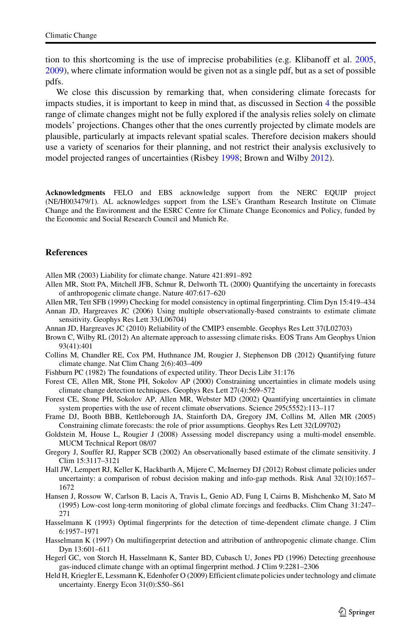tion to this shortcoming is the use of imprecise probabilities (e.g. Klibanoff et al. [2005,](#page-14-27) [2009\)](#page-14-28), where climate information would be given not as a single pdf, but as a set of possible pdfs.

We close this discussion by remarking that, when considering climate forecasts for impacts studies, it is important to keep in mind that, as discussed in Section [4](#page-8-0) the possible range of climate changes might not be fully explored if the analysis relies solely on climate models' projections. Changes other that the ones currently projected by climate models are plausible, particularly at impacts relevant spatial scales. Therefore decision makers should use a variety of scenarios for their planning, and not restrict their analysis exclusively to model projected ranges of uncertainties (Risbey [1998;](#page-14-29) Brown and Wilby [2012\)](#page-13-18).

**Acknowledgments** FELO and EBS acknowledge support from the NERC EQUIP project (NE/H003479/1). AL acknowledges support from the LSE's Grantham Research Institute on Climate Change and the Environment and the ESRC Centre for Climate Change Economics and Policy, funded by the Economic and Social Research Council and Munich Re.

#### **References**

<span id="page-13-5"></span>Allen MR (2003) Liability for climate change. Nature 421:891–892

- <span id="page-13-4"></span>Allen MR, Stott PA, Mitchell JFB, Schnur R, Delworth TL (2000) Quantifying the uncertainty in forecasts of anthropogenic climate change. Nature 407:617–620
- <span id="page-13-3"></span>Allen MR, Tett SFB (1999) Checking for model consistency in optimal fingerprinting. Clim Dyn 15:419–434
- <span id="page-13-13"></span>Annan JD, Hargreaves JC (2006) Using multiple observationally-based constraints to estimate climate sensitivity. Geophys Res Lett 33(L06704)
- <span id="page-13-11"></span>Annan JD, Hargreaves JC (2010) Reliability of the CMIP3 ensemble. Geophys Res Lett 37(L02703)
- <span id="page-13-18"></span>Brown C, Wilby RL (2012) An alternate approach to assessing climate risks. EOS Trans Am Geophys Union 93(41):401
- <span id="page-13-9"></span>Collins M, Chandler RE, Cox PM, Huthnance JM, Rougier J, Stephenson DB (2012) Quantifying future climate change. Nat Clim Chang 2(6):403–409
- <span id="page-13-16"></span>Fishburn PC (1982) The foundations of expected utility. Theor Decis Libr 31:176
- <span id="page-13-6"></span>Forest CE, Allen MR, Stone PH, Sokolov AP (2000) Constraining uncertainties in climate models using climate change detection techniques. Geophys Res Lett 27(4):569–572
- <span id="page-13-7"></span>Forest CE, Stone PH, Sokolov AP, Allen MR, Webster MD (2002) Quantifying uncertainties in climate system properties with the use of recent climate observations. Science 295(5552):113–117
- <span id="page-13-12"></span>Frame DJ, Booth BBB, Kettleborough JA, Stainforth DA, Gregory JM, Collins M, Allen MR (2005) Constraining climate forecasts: the role of prior assumptions. Geophys Res Lett 32(L09702)
- <span id="page-13-10"></span>Goldstein M, House L, Rougier J (2008) Assessing model discrepancy using a multi-model ensemble. MUCM Technical Report 08/07
- <span id="page-13-14"></span>Gregory J, Souffer RJ, Rapper SCB (2002) An observationally based estimate of the climate sensitivity. J Clim 15:3117–3121
- <span id="page-13-15"></span>Hall JW, Lempert RJ, Keller K, Hackbarth A, Mijere C, McInerney DJ (2012) Robust climate policies under uncertainty: a comparison of robust decision making and info-gap methods. Risk Anal 32(10):1657– 1672
- <span id="page-13-8"></span>Hansen J, Rossow W, Carlson B, Lacis A, Travis L, Genio AD, Fung I, Cairns B, Mishchenko M, Sato M (1995) Low-cost long-term monitoring of global climate forcings and feedbacks. Clim Chang 31:247– 271
- <span id="page-13-0"></span>Hasselmann K (1993) Optimal fingerprints for the detection of time-dependent climate change. J Clim 6:1957–1971
- <span id="page-13-1"></span>Hasselmann K (1997) On multifingerprint detection and attribution of anthropogenic climate change. Clim Dyn 13:601–611
- <span id="page-13-2"></span>Hegerl GC, von Storch H, Hasselmann K, Santer BD, Cubasch U, Jones PD (1996) Detecting greenhouse gas-induced climate change with an optimal fingerprint method. J Clim 9:2281–2306
- <span id="page-13-17"></span>Held H, Kriegler E, Lessmann K, Edenhofer O (2009) Efficient climate policies under technology and climate uncertainty. Energy Econ 31(0):S50–S61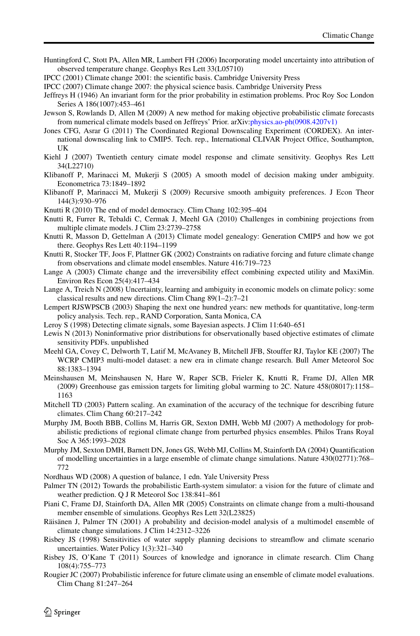- <span id="page-14-4"></span>Huntingford C, Stott PA, Allen MR, Lambert FH (2006) Incorporating model uncertainty into attribution of observed temperature change. Geophys Res Lett 33(L05710)
- <span id="page-14-5"></span>IPCC (2001) Climate change 2001: the scientific basis. Cambridge University Press
- <span id="page-14-6"></span>IPCC (2007) Climate change 2007: the physical science basis. Cambridge University Press
- <span id="page-14-18"></span>Jeffreys H (1946) An invariant form for the prior probability in estimation problems. Proc Roy Soc London Series A 186(1007):453–461
- <span id="page-14-19"></span>Jewson S, Rowlands D, Allen M (2009) A new method for making objective probabilistic climate forecasts from numerical climate models based on Jeffreys' Prior. arXiv[:physics.ao-ph\(0908.4207v1\)](http://arXiv.org/abs/physics.ao-ph(0908.4207v1))
- <span id="page-14-14"></span>Jones CFG, Asrar G (2011) The Coordinated Regional Downscaling Experiment (CORDEX). An international downscaling link to CMIP5. Tech. rep., International CLIVAR Project Office, Southampton, UK
- <span id="page-14-15"></span>Kiehl J (2007) Twentieth century cimate model response and climate sensitivity. Geophys Res Lett 34(L22710)
- <span id="page-14-27"></span>Klibanoff P, Marinacci M, Mukerji S (2005) A smooth model of decision making under ambiguity. Econometrica 73:1849–1892
- <span id="page-14-28"></span>Klibanoff P, Marinacci M, Mukerji S (2009) Recursive smooth ambiguity preferences. J Econ Theor 144(3):930–976
- <span id="page-14-2"></span>Knutti R (2010) The end of model democracy. Clim Chang 102:395–404
- <span id="page-14-0"></span>Knutti R, Furrer R, Tebaldi C, Cermak J, Meehl GA (2010) Challenges in combining projections from multiple climate models. J Clim 23:2739–2758
- <span id="page-14-1"></span>Knutti R, Masson D, Gettelman A (2013) Climate model genealogy: Generation CMIP5 and how we got there. Geophys Res Lett 40:1194–1199
- <span id="page-14-7"></span>Knutti R, Stocker TF, Joos F, Plattner GK (2002) Constraints on radiative forcing and future climate change from observations and climate model ensembles. Nature 416:719–723
- <span id="page-14-24"></span>Lange A (2003) Climate change and the irreversibility effect combining expected utility and MaxiMin. Environ Res Econ 25(4):417–434
- <span id="page-14-26"></span>Lange A, Treich N (2008) Uncertainty, learning and ambiguity in economic models on climate policy: some classical results and new directions. Clim Chang 89(1–2):7–21
- <span id="page-14-23"></span>Lempert RJSWPSCB (2003) Shaping the next one hundred years: new methods for quantitative, long-term policy analysis. Tech. rep., RAND Corporation, Santa Monica, CA
- <span id="page-14-3"></span>Leroy S (1998) Detecting climate signals, some Bayesian aspects. J Clim 11:640–651
- <span id="page-14-20"></span>Lewis N (2013) Noninformative prior distributions for observationally based objective estimates of climate sensitivity PDFs. unpublished
- <span id="page-14-13"></span>Meehl GA, Covey C, Delworth T, Latif M, McAvaney B, Mitchell JFB, Stouffer RJ, Taylor KE (2007) The WCRP CMIP3 multi-model dataset: a new era in climate change research. Bull Amer Meteorol Soc 88:1383–1394
- <span id="page-14-8"></span>Meinshausen M, Meinshausen N, Hare W, Raper SCB, Frieler K, Knutti R, Frame DJ, Allen MR (2009) Greenhouse gas emission targets for limiting global warming to 2C. Nature 458(08017):1158– 1163
- <span id="page-14-21"></span>Mitchell TD (2003) Pattern scaling. An examination of the accuracy of the technique for describing future climates. Clim Chang 60:217–242
- <span id="page-14-10"></span>Murphy JM, Booth BBB, Collins M, Harris GR, Sexton DMH, Webb MJ (2007) A methodology for probabilistic predictions of regional climate change from perturbed physics ensembles. Philos Trans Royal Soc A 365:1993–2028
- <span id="page-14-9"></span>Murphy JM, Sexton DMH, Barnett DN, Jones GS, Webb MJ, Collins M, Stainforth DA (2004) Quantification of modelling uncertainties in a large ensemble of climate change simulations. Nature 430(02771):768– 772
- <span id="page-14-25"></span>Nordhaus WD (2008) A question of balance, 1 edn. Yale University Press
- <span id="page-14-22"></span>Palmer TN (2012) Towards the probabilistic Earth-system simulator: a vision for the future of climate and weather prediction. Q J R Meteorol Soc 138:841–861
- <span id="page-14-11"></span>Piani C, Frame DJ, Stainforth DA, Allen MR (2005) Constraints on climate change from a multi-thousand member ensemble of simulations. Geophys Res Lett 32(L23825)
- <span id="page-14-16"></span>Räisänen J, Palmer TN (2001) A probability and decision-model analysis of a multimodel ensemble of climate change simulations. J Clim 14:2312–3226
- <span id="page-14-29"></span>Risbey JS (1998) Sensitivities of water supply planning decisions to streamflow and climate scenario uncertainties. Water Policy 1(3):321–340
- <span id="page-14-17"></span>Risbey JS, O'Kane T (2011) Sources of knowledge and ignorance in climate research. Clim Chang 108(4):755–773
- <span id="page-14-12"></span>Rougier JC (2007) Probabilistic inference for future climate using an ensemble of climate model evaluations. Clim Chang 81:247–264